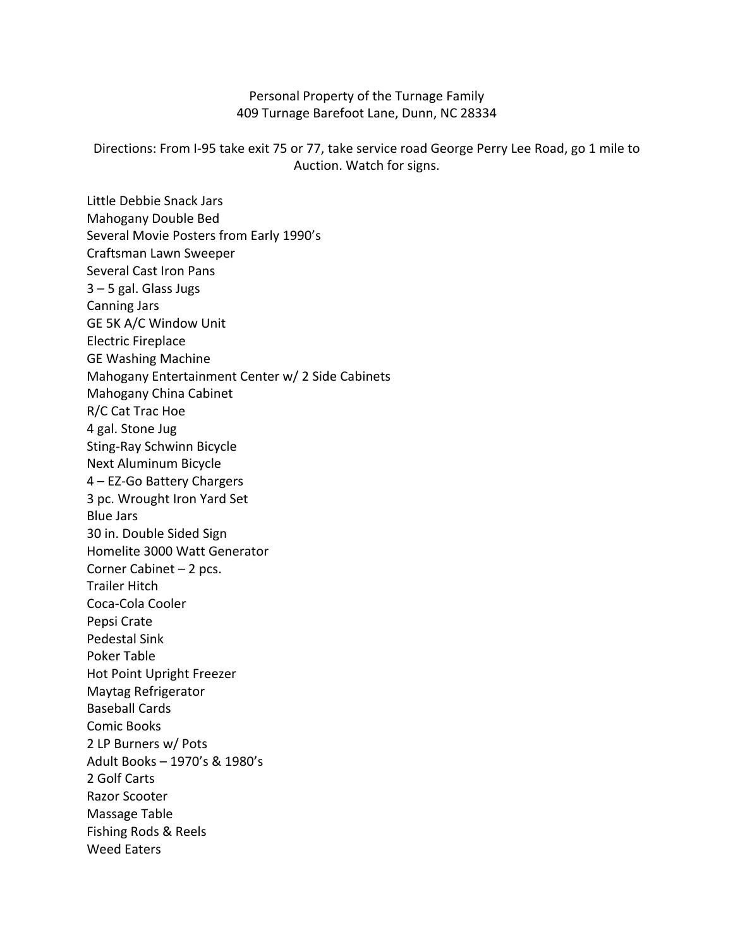## Personal Property of the Turnage Family 409 Turnage Barefoot Lane, Dunn, NC 28334

Directions: From I-95 take exit 75 or 77, take service road George Perry Lee Road, go 1 mile to Auction. Watch for signs.

Little Debbie Snack Jars Mahogany Double Bed Several Movie Posters from Early 1990's Craftsman Lawn Sweeper Several Cast Iron Pans 3 – 5 gal. Glass Jugs Canning Jars GE 5K A/C Window Unit Electric Fireplace GE Washing Machine Mahogany Entertainment Center w/ 2 Side Cabinets Mahogany China Cabinet R/C Cat Trac Hoe 4 gal. Stone Jug Sting-Ray Schwinn Bicycle Next Aluminum Bicycle 4 – EZ-Go Battery Chargers 3 pc. Wrought Iron Yard Set Blue Jars 30 in. Double Sided Sign Homelite 3000 Watt Generator Corner Cabinet – 2 pcs. Trailer Hitch Coca-Cola Cooler Pepsi Crate Pedestal Sink Poker Table Hot Point Upright Freezer Maytag Refrigerator Baseball Cards Comic Books 2 LP Burners w/ Pots Adult Books – 1970's & 1980's 2 Golf Carts Razor Scooter Massage Table Fishing Rods & Reels Weed Eaters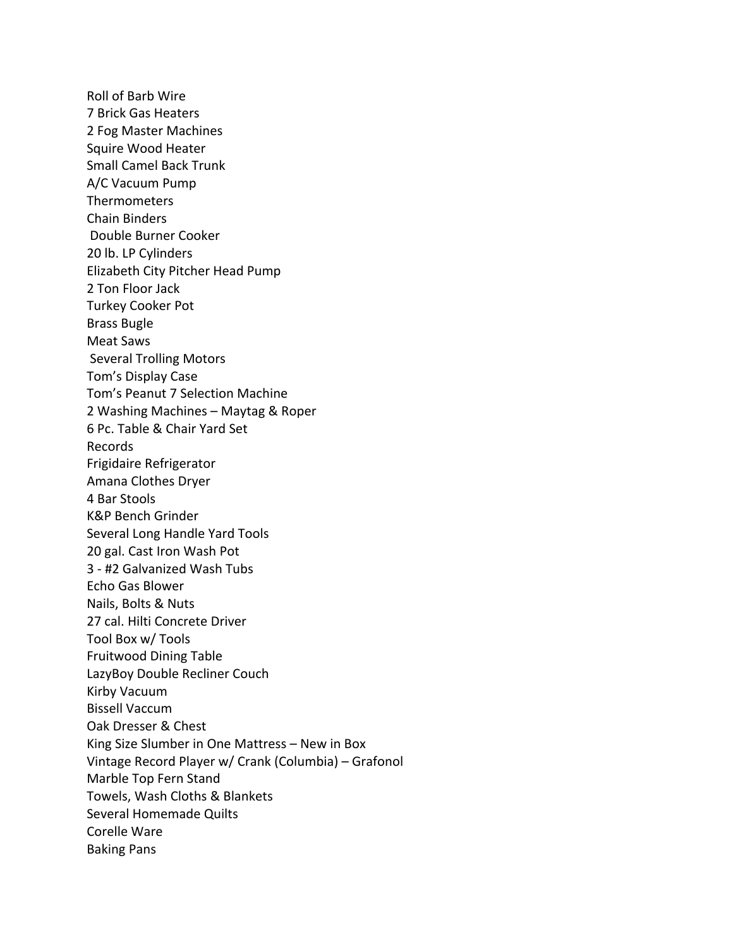Roll of Barb Wire 7 Brick Gas Heaters 2 Fog Master Machines Squire Wood Heater Small Camel Back Trunk A/C Vacuum Pump Thermometers Chain Binders Double Burner Cooker 20 lb. LP Cylinders Elizabeth City Pitcher Head Pump 2 Ton Floor Jack Turkey Cooker Pot Brass Bugle Meat Saws Several Trolling Motors Tom's Display Case Tom's Peanut 7 Selection Machine 2 Washing Machines – Maytag & Roper 6 Pc. Table & Chair Yard Set Records Frigidaire Refrigerator Amana Clothes Dryer 4 Bar Stools K&P Bench Grinder Several Long Handle Yard Tools 20 gal. Cast Iron Wash Pot 3 - #2 Galvanized Wash Tubs Echo Gas Blower Nails, Bolts & Nuts 27 cal. Hilti Concrete Driver Tool Box w/ Tools Fruitwood Dining Table LazyBoy Double Recliner Couch Kirby Vacuum Bissell Vaccum Oak Dresser & Chest King Size Slumber in One Mattress – New in Box Vintage Record Player w/ Crank (Columbia) – Grafonol Marble Top Fern Stand Towels, Wash Cloths & Blankets Several Homemade Quilts Corelle Ware Baking Pans